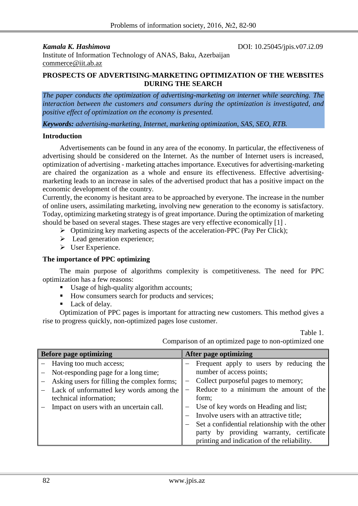**Kamala K. Hashimova DOI:** 10.25045/jpis.v07.i2.09

Institute of Information Technology of ANAS, Baku, Azerbaijan [commerce@iit.ab.az](mailto:commerce@iit.ab.az)

#### **PROSPECTS OF ADVERTISING-MARKETING OPTIMIZATION OF THE WEBSITES DURING THE SEARCH**

*The paper conducts the optimization of advertising-marketing on internet while searching. The interaction between the customers and consumers during the optimization is investigated, and positive effect of optimization on the economy is presented.*

*Keywords: advertising-marketing, Internet, marketing optimization, SAS, SEO, RTB.*

#### **Introduction**

Advertisements can be found in any area of the economy. In particular, the effectiveness of advertising should be considered on the Internet. As the number of Internet users is increased, optimization of advertising - marketing attaches importance. Executives for advertising-marketing are chaired the organization as a whole and ensure its effectiveness. Effective advertisingmarketing leads to an increase in sales of the advertised product that has a positive impact on the economic development of the country.

Currently, the economy is hesitant area to be approached by everyone. The increase in the number of online users, assimilating marketing, involving new generation to the economy is satisfactory. Today, optimizing marketing strategy is of great importance. During the optimization of marketing should be based on several stages. These stages are very effective economically [1] .

- $\triangleright$  Optimizing key marketing aspects of the acceleration-PPC (Pay Per Click);
- $\triangleright$  Lead generation experience;
- User Experience.

# **The importance of PPC optimizing**

The main purpose of algorithms complexity is competitiveness. The need for PPC optimization has a few reasons:

- Usage of high-quality algorithm accounts;
- How consumers search for products and services;
- Lack of delay.

Optimization of PPC pages is important for attracting new customers. This method gives a rise to progress quickly, non-optimized pages lose customer.

Table 1.

Comparison of an optimized page to non-optimized one

| <b>Before page optimizing</b> |                                             |  | After page optimizing                          |  |  |  |
|-------------------------------|---------------------------------------------|--|------------------------------------------------|--|--|--|
|                               | - Having too much access;                   |  | Frequent apply to users by reducing the        |  |  |  |
|                               | - Not-responding page for a long time;      |  | number of access points;                       |  |  |  |
|                               | Asking users for filling the complex forms; |  | Collect purposeful pages to memory;            |  |  |  |
|                               | Lack of unformatted key words among the     |  | Reduce to a minimum the amount of the          |  |  |  |
|                               | technical information;                      |  | form;                                          |  |  |  |
|                               | Impact on users with an uncertain call.     |  | Use of key words on Heading and list;          |  |  |  |
|                               |                                             |  | Involve users with an attractive title;        |  |  |  |
|                               |                                             |  | Set a confidential relationship with the other |  |  |  |
|                               |                                             |  | party by providing warranty, certificate       |  |  |  |
|                               |                                             |  | printing and indication of the reliability.    |  |  |  |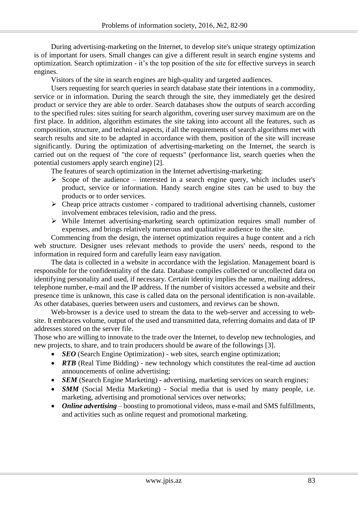During advertising-marketing on the Internet, to develop site's unique strategy optimization is of important for users. Small changes can give a different result in search engine systems and optimization. Search optimization - it's the top position of the site for effective surveys in search engines.

Visitors of the site in search engines are high-quality and targeted audiences.

Users requesting for search queries in search database state their intentions in a commodity, service or in information. During the search through the site, they immediately get the desired product or service they are able to order. Search databases show the outputs of search according to the specified rules: sites suiting for search algorithm, covering user survey maximum are on the first place. In addition, algorithm estimates the site taking into account all the features, such as composition, structure, and technical aspects, if all the requirements of search algorithms met with search results and site to be adapted in accordance with them, position of the site will increase significantly. During the optimization of advertising-marketing on the Internet, the search is carried out on the request of "the core of requests" (performance list, search queries when the potential customers apply search engine) [2].

The features of search optimization in the Internet advertising-marketing:

- $\triangleright$  Scope of the audience interested in a search engine query, which includes user's product, service or information. Handy search engine sites can be used to buy the products or to order services.
- $\triangleright$  Cheap price attracts customer compared to traditional advertising channels, customer involvement embraces television, radio and the press.
- While Internet advertising-marketing search optimization requires small number of expenses, and brings relatively numerous and qualitative audience to the site.

Commencing from the design, the internet optimization requires a huge content and a rich web structure. Designer uses relevant methods to provide the users' needs, respond to the information in required form and carefully learn easy navigation.

The data is collected in a website in accordance with the legislation. Management board is responsible for the confidentiality of the data. Database compiles collected or uncollected data on identifying personality and used, if necessary. Certain identity implies the name, mailing address, telephone number, e-mail and the IP address. If the number of visitors accessed a website and their presence time is unknown, this case is called data on the personal identification is non-available. As other databases, queries between users and customers, and reviews can be shown.

Web-browser is a device used to stream the data to the web-server and accessing to website. It embraces volume, output of the used and transmitted data, referring domains and data of IP addresses stored on the server file.

Those who are willing to innovate to the trade over the Internet, to develop new technologies, and new projects, to share, and to train producers should be aware of the followings [3].

- *SEO* (Search Engine Optimization) web sites, search engine optimization;
- **RTB** (Real Time Bidding) new technology which constitutes the real-time ad auction announcements of online advertising;
- **SEM** (Search Engine Marketing) advertising, marketing services on search engines;
- **SMM** (Social Media Marketing) Social media that is used by many people, i.e. marketing, advertising and promotional services over networks;
- *Online advertising* boosting to promotional videos, mass e-mail and SMS fulfillments, and activities such as online request and promotional marketing.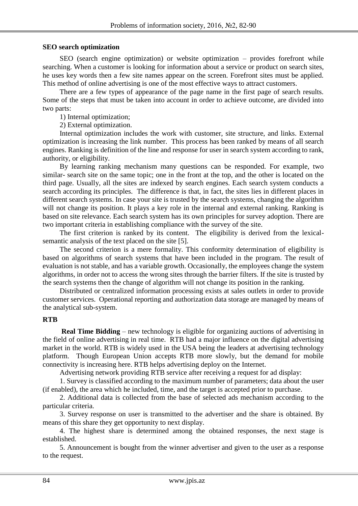### **SEO search optimization**

SEO (search engine optimization) or website optimization – provides forefront while searching. When a customer is looking for information about a service or product on search sites, he uses key words then a few site names appear on the screen. Forefront sites must be applied. This method of online advertising is one of the most effective ways to attract customers.

There are a few types of appearance of the page name in the first page of search results. Some of the steps that must be taken into account in order to achieve outcome, are divided into two parts:

1) Internal optimization;

2) External optimization.

Internal optimization includes the work with customer, site structure, and links. External optimization is increasing the link number. This process has been ranked by means of all search engines. Ranking is definition of the line and response for user in search system according to rank, authority, or eligibility.

By learning ranking mechanism many questions can be responded. For example, two similar- search site on the same topic; one in the front at the top, and the other is located on the third page. Usually, all the sites are indexed by search engines. Each search system conducts a search according its principles. The difference is that, in fact, the sites lies in different places in different search systems. In case your site is trusted by the search systems, changing the algorithm will not change its position. It plays a key role in the internal and external ranking. Ranking is based on site relevance. Each search system has its own principles for survey adoption. There are two important criteria in establishing compliance with the survey of the site.

The first criterion is ranked by its content. The eligibility is derived from the lexicalsemantic analysis of the text placed on the site [5].

The second criterion is a mere formality. This conformity determination of eligibility is based on algorithms of search systems that have been included in the program. The result of evaluation is not stable, and has a variable growth. Occasionally, the employees change the system algorithms, in order not to access the wrong sites through the barrier filters. If the site is trusted by the search systems then the change of algorithm will not change its position in the ranking.

Distributed or centralized information processing exists at sales outlets in order to provide customer services. Operational reporting and authorization data storage are managed by means of the analytical sub-system.

#### **RTB**

**Real Time Bidding** – new technology is eligible for organizing auctions of advertising in the field of online advertising in real time. RTB had a major influence on the digital advertising market in the world. RTB is widely used in the USA being the leaders at advertising technology platform. Though European Union accepts RTB more slowly, but the demand for mobile connectivity is increasing here. RTB helps advertising deploy on the Internet.

Advertising network providing RTB service after receiving a request for ad display:

1. Survey is classified according to the maximum number of parameters; data about the user (if enabled), the area which he included, time, and the target is accepted prior to purchase.

2. Additional data is collected from the base of selected ads mechanism according to the particular criteria.

3. Survey response on user is transmitted to the advertiser and the share is obtained. By means of this share they get opportunity to next display.

4. The highest share is determined among the obtained responses, the next stage is established.

5. Announcement is bought from the winner advertiser and given to the user as a response to the request.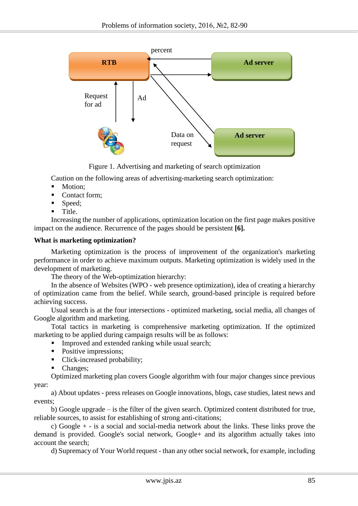

Figure 1. Advertising and marketing of search optimization

Caution on the following areas of advertising-marketing search optimization:

- Motion:
- Contact form;
- Speed;
- $\blacksquare$  Title.

Increasing the number of applications, optimization location on the first page makes positive impact on the audience. Recurrence of the pages should be persistent **[6].**

#### **What is marketing optimization?**

Marketing optimization is the process of improvement of the organization's marketing performance in order to achieve maximum outputs. Marketing optimization is widely used in the development of marketing.

The theory of the Web-optimization hierarchy:

In the absence of Websites (WPO - web presence optimization), idea of creating a hierarchy of optimization came from the belief. While search, ground-based principle is required before achieving success.

Usual search is at the four intersections - optimized marketing, social media, all changes of Google algorithm and marketing.

Total tactics in marketing is comprehensive marketing optimization. If the optimized marketing to be applied during campaign results will be as follows:

- Improved and extended ranking while usual search;
- Positive impressions;
- Click-increased probability;
- Changes;

Optimized marketing plan covers Google algorithm with four major changes since previous year:

a) About updates - press releases on Google innovations, blogs, case studies, latest news and events;

b) Google upgrade – is the filter of the given search. Optimized content distributed for true, reliable sources, to assist for establishing of strong anti-citations;

c) Google + - is a social and social-media network about the links. These links prove the demand is provided. Google's social network, Google+ and its algorithm actually takes into account the search;

d) Supremacy of Your World request - than any other social network, for example, including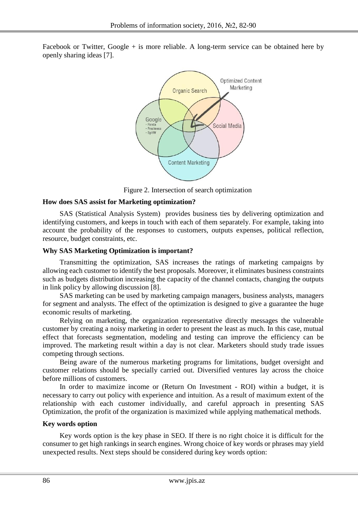Facebook or Twitter, Google + is more reliable. A long-term service can be obtained here by openly sharing ideas [7].



Figure 2. Intersection of search optimization

## **How does SAS assist for Marketing optimization?**

SAS (Statistical Analysis System) provides business ties by delivering optimization and identifying customers, and keeps in touch with each of them separately. For example, taking into account the probability of the responses to customers, outputs expenses, political reflection, resource, budget constraints, etc.

## **Why SAS Marketing Optimization is important?**

Transmitting the optimization, SAS increases the ratings of marketing campaigns by allowing each customer to identify the best proposals. Moreover, it eliminates business constraints such as budgets distribution increasing the capacity of the channel contacts, changing the outputs in link policy by allowing discussion [8].

SAS marketing can be used by marketing campaign managers, business analysts, managers for segment and analysts. The effect of the optimization is designed to give a guarantee the huge economic results of marketing.

Relying on marketing, the organization representative directly messages the vulnerable customer by creating a noisy marketing in order to present the least as much. In this case, mutual effect that forecasts segmentation, modeling and testing can improve the efficiency can be improved. The marketing result within a day is not clear. Marketers should study trade issues competing through sections.

Being aware of the numerous marketing programs for limitations, budget oversight and customer relations should be specially carried out. Diversified ventures lay across the choice before millions of customers.

In order to maximize income or (Return On Investment - ROI) within a budget, it is necessary to carry out policy with experience and intuition. As a result of maximum extent of the relationship with each customer individually, and careful approach in presenting SAS Optimization, the profit of the organization is maximized while applying mathematical methods.

## **Key words option**

Key words option is the key phase in SEO. If there is no right choice it is difficult for the consumer to get high rankings in search engines. Wrong choice of key words or phrases may yield unexpected results. Next steps should be considered during key words option: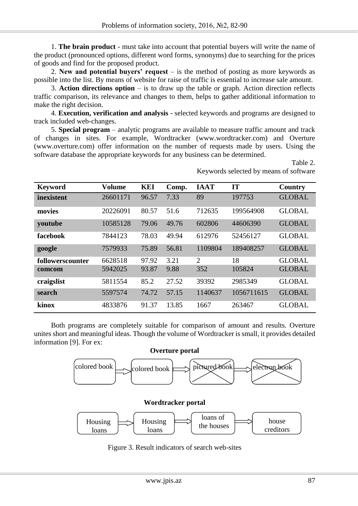1. **The brain product** - must take into account that potential buyers will write the name of the product (pronounced options, different word forms, synonyms) due to searching for the prices of goods and find for the proposed product.

2. **New and potential buyers' request** – is the method of posting as more keywords as possible into the list. By means of website for raise of traffic is essential to increase sale amount.

3. **Action directions option** – is to draw up the table or graph. Action direction reflects traffic comparison, its relevance and changes to them, helps to gather additional information to make the right decision.

4. **Execution, verification and analysis** - selected keywords and programs are designed to track included web-changes.

5. **Special program** – analytic programs are available to measure traffic amount and track of changes in sites. For example, Wordtracker (www.wordtracker.com) and Overture (www.overture.com) offer information on the number of requests made by users. Using the software database the appropriate keywords for any business can be determined.

| <b>Keyword</b>   | <b>Volume</b> | <b>KEI</b> | Comp. | <b>IAAT</b>    | <b>IT</b>  | <b>Country</b> |
|------------------|---------------|------------|-------|----------------|------------|----------------|
| inexistent       | 26601171      | 96.57      | 7.33  | 89             | 197753     | <b>GLOBAL</b>  |
| movies           | 20226091      | 80.57      | 51.6  | 712635         | 199564908  | <b>GLOBAL</b>  |
| youtube          | 10585128      | 79.06      | 49.76 | 602806         | 44606390   | <b>GLOBAL</b>  |
| facebook         | 7844123       | 78.03      | 49.94 | 612976         | 52456127   | <b>GLOBAL</b>  |
| google           | 7579933       | 75.89      | 56.81 | 1109804        | 189408257  | <b>GLOBAL</b>  |
| followerscounter | 6628518       | 97.92      | 3.21  | $\overline{2}$ | 18         | <b>GLOBAL</b>  |
| comcom           | 5942025       | 93.87      | 9.88  | 352            | 105824     | <b>GLOBAL</b>  |
| craigslist       | 5811554       | 85.2       | 27.52 | 39392          | 2985349    | <b>GLOBAL</b>  |
| search           | 5597574       | 74.72      | 57.15 | 1140637        | 1056711615 | <b>GLOBAL</b>  |
| kinox            | 4833876       | 91.37      | 13.85 | 1667           | 263467     | <b>GLOBAL</b>  |

Table 2. Keywords selected by means of software

Both programs are completely suitable for comparison of amount and results. Overture unites short and meaningful ideas. Though the volume of Wordtracker is small, it provides detailed information [9]. For ex:







Figure 3. Result indicators of search web-sites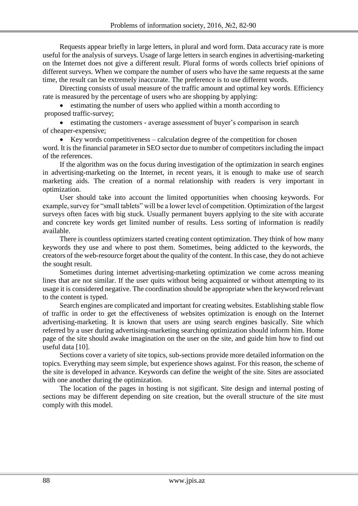Requests appear briefly in large letters, in plural and word form. Data accuracy rate is more useful for the analysis of surveys. Usage of large letters in search engines in advertising-marketing on the Internet does not give a different result. Plural forms of words collects brief opinions of different surveys. When we compare the number of users who have the same requests at the same time, the result can be extremely inaccurate. The preference is to use different words.

Directing consists of usual measure of the traffic amount and optimal key words. Efficiency rate is measured by the percentage of users who are shopping by applying:

 estimating the number of users who applied within a month according to proposed traffic-survey;

 estimating the customers - average assessment of buyer's comparison in search of cheaper-expensive;

 $\bullet$  Key words competitiveness – calculation degree of the competition for chosen word. It is the financial parameter in SEO sector due to number of competitors including the impact of the references.

If the algorithm was on the focus during investigation of the optimization in search engines in advertising-marketing on the Internet, in recent years, it is enough to make use of search marketing aids. The creation of a normal relationship with readers is very important in optimization.

User should take into account the limited opportunities when choosing keywords. For example, survey for "small tablets" will be a lower level of competition. Optimization of the largest surveys often faces with big stuck. Usually permanent buyers applying to the site with accurate and concrete key words get limited number of results. Less sorting of information is readily available.

There is countless optimizers started creating content optimization. They think of how many keywords they use and where to post them. Sometimes, being addicted to the keywords, the creators of the web-resource forget about the quality of the content. In this case, they do not achieve the sought result.

Sometimes during internet advertising-marketing optimization we come across meaning lines that are not similar. If the user quits without being acquainted or without attempting to its usage it is considered negative. The coordination should be appropriate when the keyword relevant to the content is typed.

Search engines are complicated and important for creating websites. Establishing stable flow of traffic in order to get the effectiveness of websites optimization is enough on the Internet advertising-marketing. It is known that users are using search engines basically. Site which referred by a user during advertising-marketing searching optimization should inform him. Home page of the site should awake imagination on the user on the site, and guide him how to find out useful data [10].

Sections cover a variety of site topics, sub-sections provide more detailed information on the topics. Everything may seem simple, but experience shows against. For this reason, the scheme of the site is developed in advance. Keywords can define the weight of the site. Sites are associated with one another during the optimization.

The location of the pages in hosting is not sigificant. Site design and internal posting of sections may be different depending on site creation, but the overall structure of the site must comply with this model.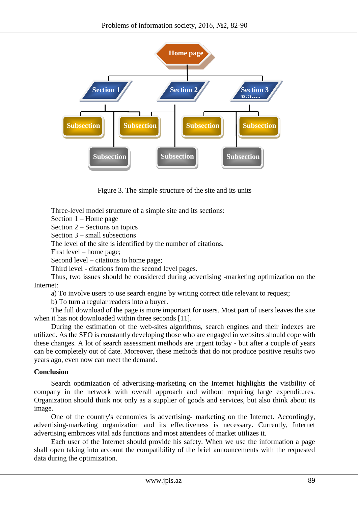

Figure 3. The simple structure of the site and its units

Three-level model structure of a simple site and its sections:

Section 1 – Home page

Section 2 – Sections on topics

Section 3 – small subsections

The level of the site is identified by the number of citations.

First level – home page;

Second level – citations to home page;

Third level - citations from the second level pages.

Thus, two issues should be considered during advertising -marketing optimization on the Internet:

a) To involve users to use search engine by writing correct title relevant to request;

b) To turn a regular readers into a buyer.

The full download of the page is more important for users. Most part of users leaves the site when it has not downloaded within three seconds [11].

During the estimation of the web-sites algorithms, search engines and their indexes are utilized. As the SEO is constantly developing those who are engaged in websites should cope with these changes. A lot of search assessment methods are urgent today - but after a couple of years can be completely out of date. Moreover, these methods that do not produce positive results two years ago, even now can meet the demand.

## **Conclusion**

Search optimization of advertising-marketing on the Internet highlights the visibility of company in the network with overall approach and without requiring large expenditures. Organization should think not only as a supplier of goods and services, but also think about its image.

One of the country's economies is advertising- marketing on the Internet. Accordingly, advertising-marketing organization and its effectiveness is necessary. Currently, Internet advertising embraces vital ads functions and most attendees of market utilizes it.

Each user of the Internet should provide his safety. When we use the information a page shall open taking into account the compatibility of the brief announcements with the requested data during the optimization.